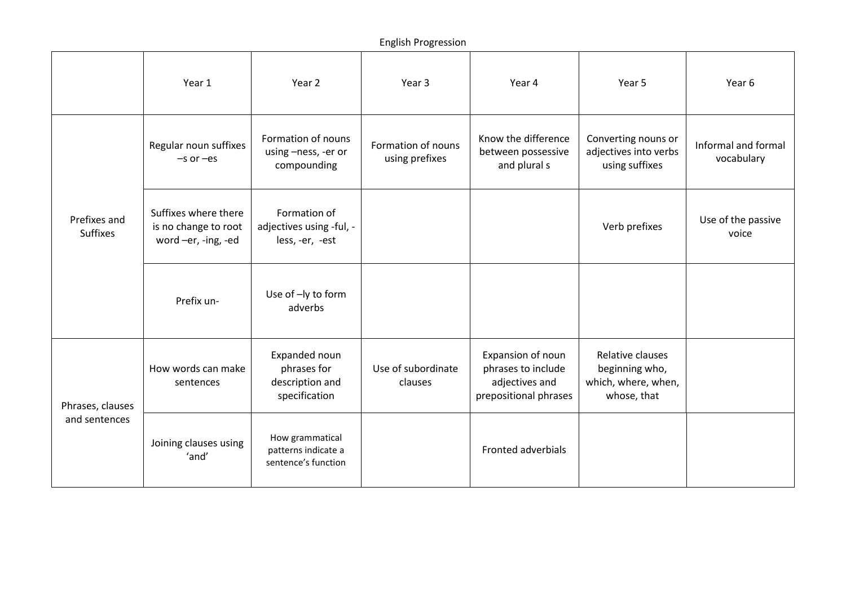|                                   | Year 1                                                              | Year 2                                                           | Year 3                               | Year 4                                                                             | Year 5                                                                   | Year 6                            |
|-----------------------------------|---------------------------------------------------------------------|------------------------------------------------------------------|--------------------------------------|------------------------------------------------------------------------------------|--------------------------------------------------------------------------|-----------------------------------|
| Prefixes and<br><b>Suffixes</b>   | Regular noun suffixes<br>$-$ s or $-$ es                            | Formation of nouns<br>using -ness, -er or<br>compounding         | Formation of nouns<br>using prefixes | Know the difference<br>between possessive<br>and plural s                          | Converting nouns or<br>adjectives into verbs<br>using suffixes           | Informal and formal<br>vocabulary |
|                                   | Suffixes where there<br>is no change to root<br>word -er, -ing, -ed | Formation of<br>adjectives using -ful, -<br>less, -er, -est      |                                      |                                                                                    | Verb prefixes                                                            | Use of the passive<br>voice       |
|                                   | Prefix un-                                                          | Use of -ly to form<br>adverbs                                    |                                      |                                                                                    |                                                                          |                                   |
| Phrases, clauses<br>and sentences | How words can make<br>sentences                                     | Expanded noun<br>phrases for<br>description and<br>specification | Use of subordinate<br>clauses        | Expansion of noun<br>phrases to include<br>adjectives and<br>prepositional phrases | Relative clauses<br>beginning who,<br>which, where, when,<br>whose, that |                                   |
|                                   | Joining clauses using<br>'and'                                      | How grammatical<br>patterns indicate a<br>sentence's function    |                                      | Fronted adverbials                                                                 |                                                                          |                                   |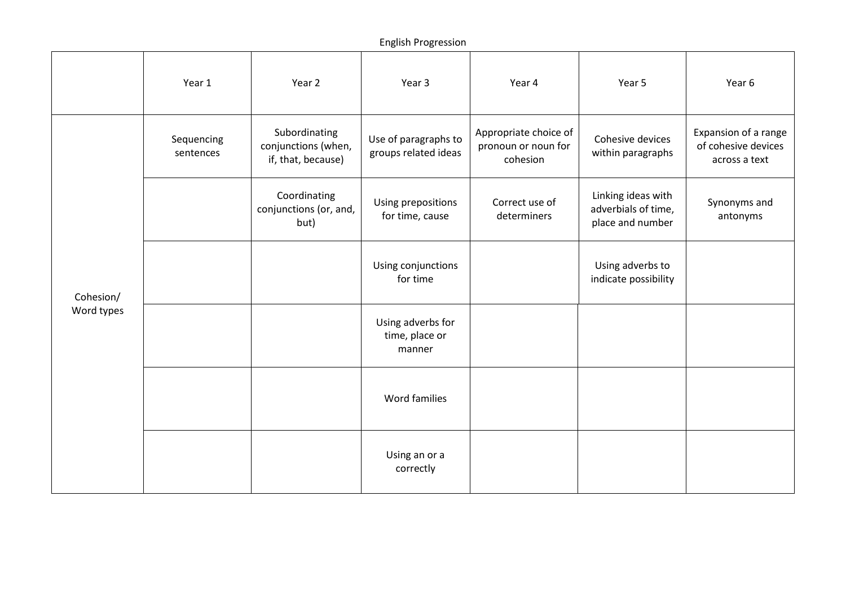|                         | Year 1                  | Year 2                                                     | Year 3                                        | Year 4                                                   | Year 5                                                        | Year 6                                                       |
|-------------------------|-------------------------|------------------------------------------------------------|-----------------------------------------------|----------------------------------------------------------|---------------------------------------------------------------|--------------------------------------------------------------|
| Cohesion/<br>Word types | Sequencing<br>sentences | Subordinating<br>conjunctions (when,<br>if, that, because) | Use of paragraphs to<br>groups related ideas  | Appropriate choice of<br>pronoun or noun for<br>cohesion | Cohesive devices<br>within paragraphs                         | Expansion of a range<br>of cohesive devices<br>across a text |
|                         |                         | Coordinating<br>conjunctions (or, and,<br>but)             | Using prepositions<br>for time, cause         | Correct use of<br>determiners                            | Linking ideas with<br>adverbials of time,<br>place and number | Synonyms and<br>antonyms                                     |
|                         |                         |                                                            | Using conjunctions<br>for time                |                                                          | Using adverbs to<br>indicate possibility                      |                                                              |
|                         |                         |                                                            | Using adverbs for<br>time, place or<br>manner |                                                          |                                                               |                                                              |
|                         |                         |                                                            | Word families                                 |                                                          |                                                               |                                                              |
|                         |                         |                                                            | Using an or a<br>correctly                    |                                                          |                                                               |                                                              |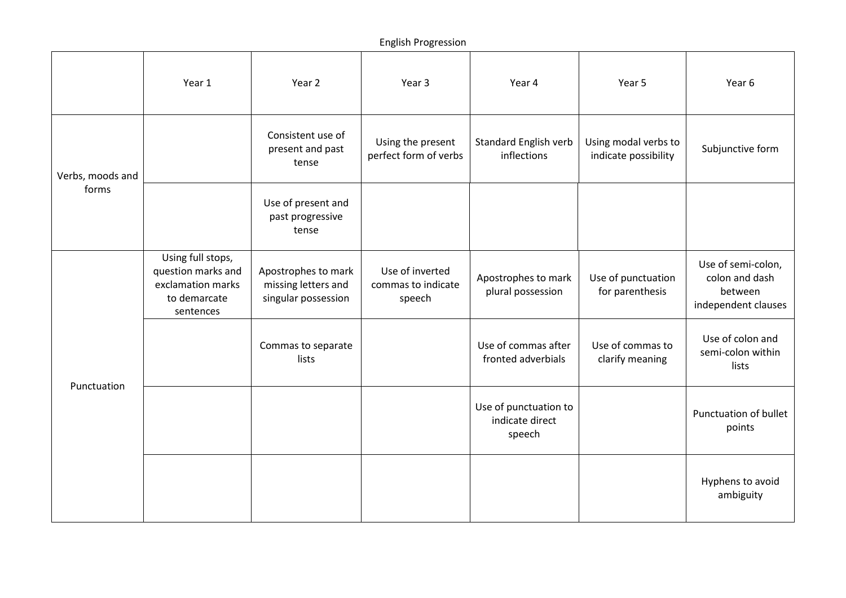|                           | Year 1                                                                                    | Year 2                                                            | Year 3                                          | Year 4                                             | Year 5                                       | Year 6                                                                 |
|---------------------------|-------------------------------------------------------------------------------------------|-------------------------------------------------------------------|-------------------------------------------------|----------------------------------------------------|----------------------------------------------|------------------------------------------------------------------------|
| Verbs, moods and<br>forms |                                                                                           | Consistent use of<br>present and past<br>tense                    | Using the present<br>perfect form of verbs      | <b>Standard English verb</b><br>inflections        | Using modal verbs to<br>indicate possibility | Subjunctive form                                                       |
|                           |                                                                                           | Use of present and<br>past progressive<br>tense                   |                                                 |                                                    |                                              |                                                                        |
| Punctuation               | Using full stops,<br>question marks and<br>exclamation marks<br>to demarcate<br>sentences | Apostrophes to mark<br>missing letters and<br>singular possession | Use of inverted<br>commas to indicate<br>speech | Apostrophes to mark<br>plural possession           | Use of punctuation<br>for parenthesis        | Use of semi-colon,<br>colon and dash<br>between<br>independent clauses |
|                           |                                                                                           | Commas to separate<br>lists                                       |                                                 | Use of commas after<br>fronted adverbials          | Use of commas to<br>clarify meaning          | Use of colon and<br>semi-colon within<br>lists                         |
|                           |                                                                                           |                                                                   |                                                 | Use of punctuation to<br>indicate direct<br>speech |                                              | Punctuation of bullet<br>points                                        |
|                           |                                                                                           |                                                                   |                                                 |                                                    |                                              | Hyphens to avoid<br>ambiguity                                          |